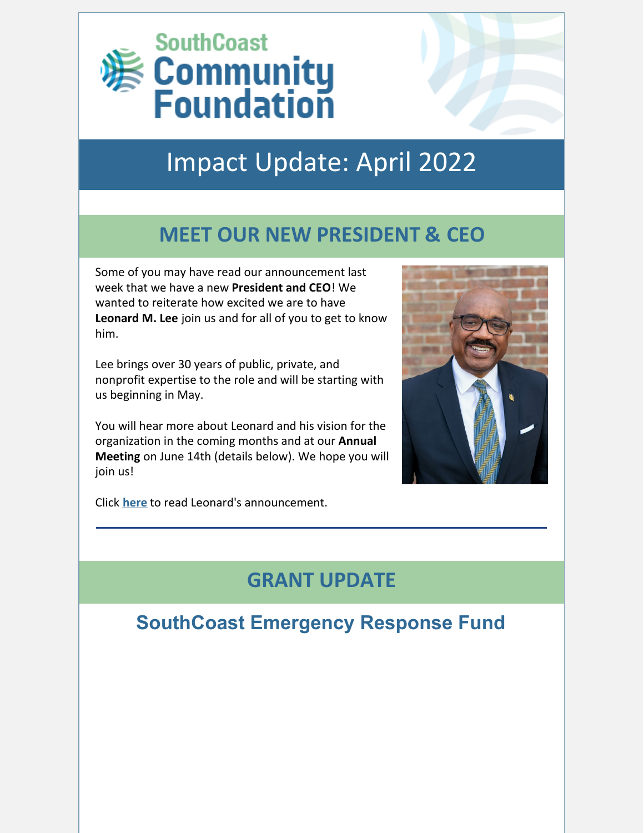

# Impact Update: April 2022

## **MEET OUR NEW PRESIDENT & CEO**

Some of you may have read our announcement last week that we have a new **President and CEO**! We wanted to reiterate how excited we are to have **Leonard M. Lee** join us and for all of you to get to know him.

Lee brings over 30 years of public, private, and nonprofit expertise to the role and will be starting with us beginning in May.

You will hear more about Leonard and his vision for the organization in the coming months and at our **Annual Meeting** on June 14th (details below). We hope you will join us!

Click **[here](https://bit.ly/3uMIymS)** to read Leonard's announcement.

## **GRANT UPDATE**

### **SouthCoast Emergency Response Fund**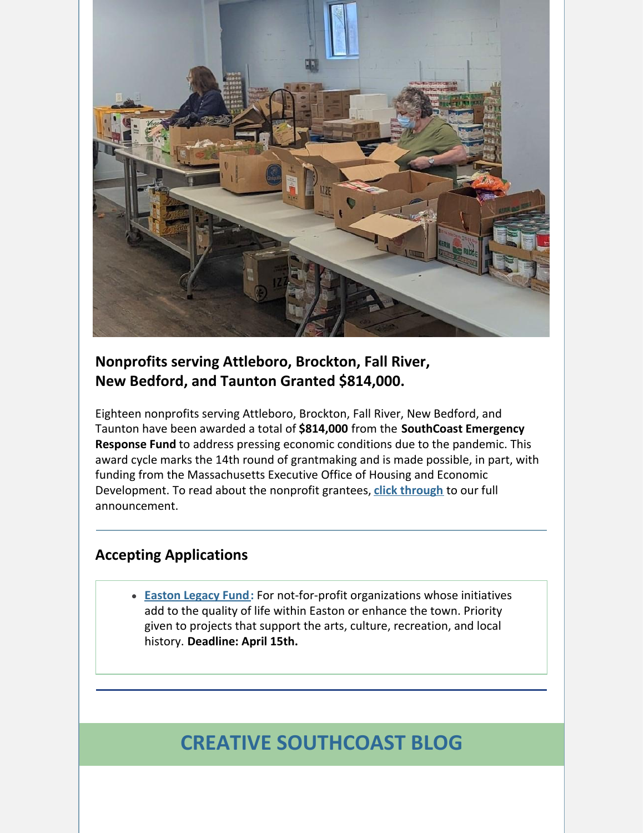

#### **Nonprofits serving Attleboro, Brockton, Fall River, New Bedford, and Taunton Granted \$814,000.**

Eighteen nonprofits serving Attleboro, Brockton, Fall River, New Bedford, and Taunton have been awarded a total of **\$814,000** from the **SouthCoast Emergency Response Fund** to address pressing economic conditions due to the pandemic. This award cycle marks the 14th round of grantmaking and is made possible, in part, with funding from the Massachusetts Executive Office of Housing and Economic Development. To read about the nonprofit grantees, **click [through](https://bit.ly/3N83zRJ)** to our full announcement.

#### **Accepting Applications**

**[Easton](https://www.grantinterface.com/Process/Apply?urlkey=cfsema) Legacy Fund:** For not-for-profit organizations whose initiatives add to the quality of life within Easton or enhance the town. Priority given to projects that support the arts, culture, recreation, and local history. **Deadline: April 15th.**

## **CREATIVE SOUTHCOAST BLOG**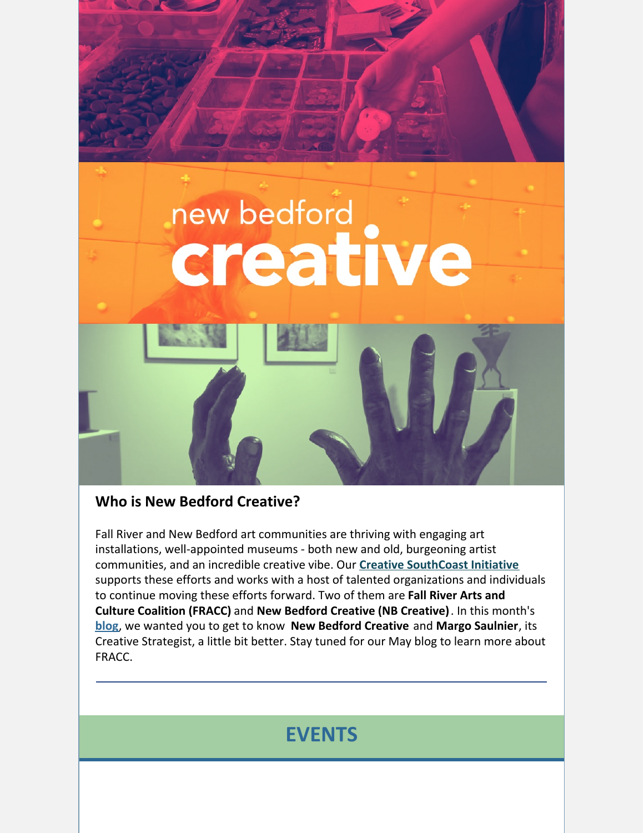

#### **Who is New Bedford Creative?**

Fall River and New Bedford art communities are thriving with engaging art installations, well-appointed museums - both new and old, burgeoning artist communities, and an incredible creative vibe. Our **Creative [SouthCoast](https://southcoastcf.org/learn/strategic-priorities/#arts-culture) Initiative** supports these efforts and works with a host of talented organizations and individuals to continue moving these efforts forward. Two of them are **Fall River Arts and Culture Coalition (FRACC)** and **New Bedford Creative (NB Creative)**. In this month's **[blog](https://bit.ly/3DU7s8l)**, we wanted you to get to know **New Bedford Creative** and **Margo Saulnier**, its Creative Strategist, a little bit better. Stay tuned for our May blog to learn more about FRACC.

## **EVENTS**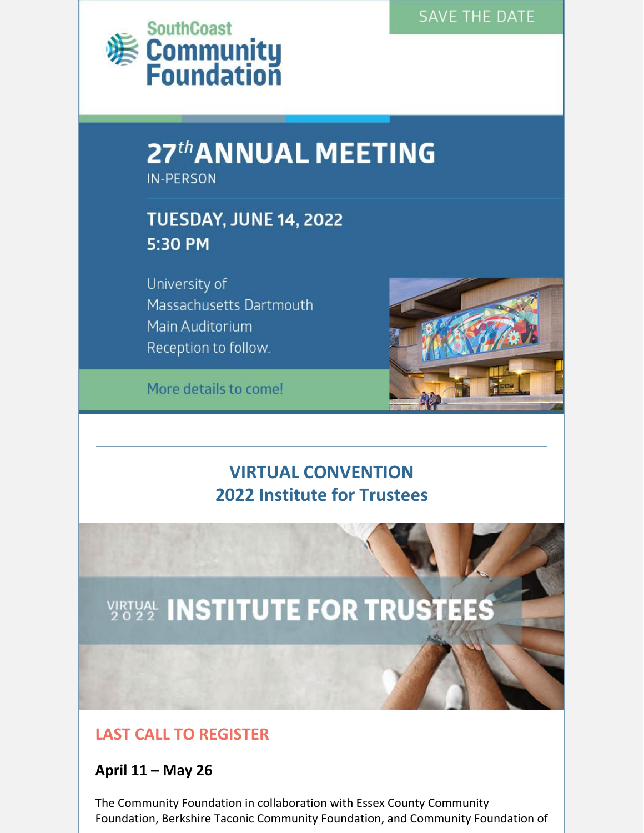#### **SAVE THE DATE**



# 27th ANNUAL MEETING

**IN-PERSON** 

## **TUESDAY, JUNE 14, 2022** 5:30 PM

University of Massachusetts Dartmouth Main Auditorium Reception to follow.

More details to come!



### **VIRTUAL CONVENTION 2022 Institute for Trustees**



#### **LAST CALL TO REGISTER**

#### **April 11 – May 26**

The Community Foundation in collaboration with Essex County Community Foundation, Berkshire Taconic Community Foundation, and Community Foundation of